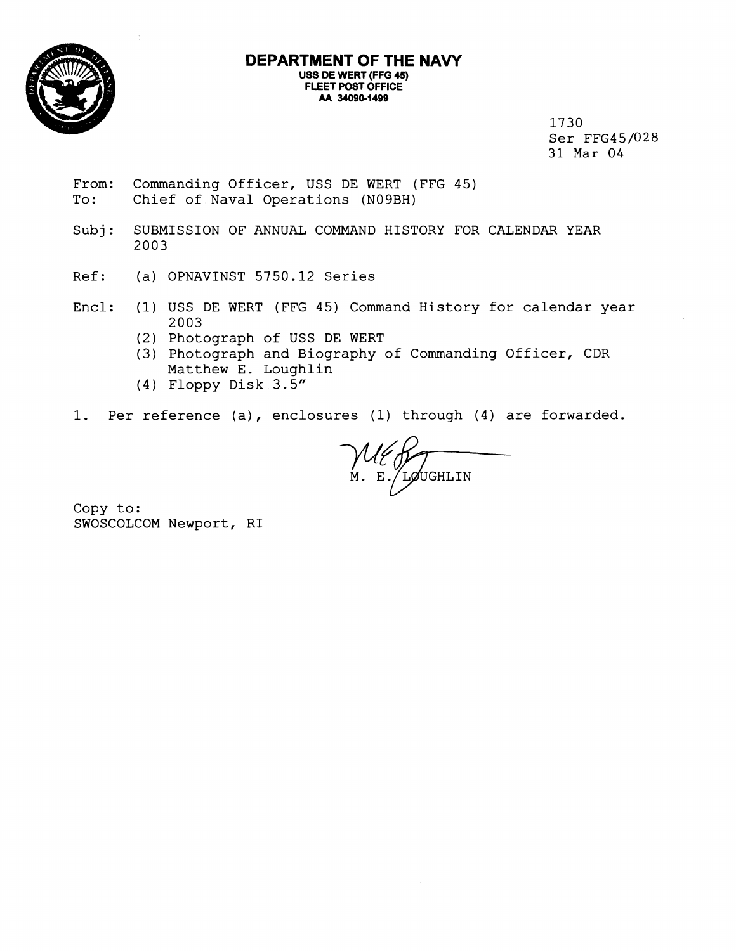

## **DEPARTMENT OF THE NAVY USS DE WERT (FFG 45) FLEET POST OFFICE**  AA 34090-1499

1730 Ser FFG45/028 31 Mar 04

- From: Commanding Officer, USS DE WERT (FFG 45)<br>To: Chief of Naval Operations (N09BH) Chief of Naval Operations (N09BH)
- Subj: SUBMISSION OF ANNUAL COMMAND HISTORY FOR CALENDAR YEAR 2003
- Ref: (a) OPNAVINST 5750.12 Series
- Encl: (1) USS DE WERT (FFG 45) Command History for calendar year 2003
	- (2) Photograph of USS DE WERT
	- **(3)** Photograph and Biography of Commanding Officer, CDR Matthew E. Loughlin
	- (4) Floppy Disk 3.5"
- 1. Per reference (a), enclosures (1) through (4) are forwarded.

Command History for calendar year<br>
WERT<br>
aphy of Commanding Officer, CDR<br>
res (1) through (4) are forwarded.<br>
M. E. LOUGHLIN

Copy to: SWOSCOLCOM Newport, RI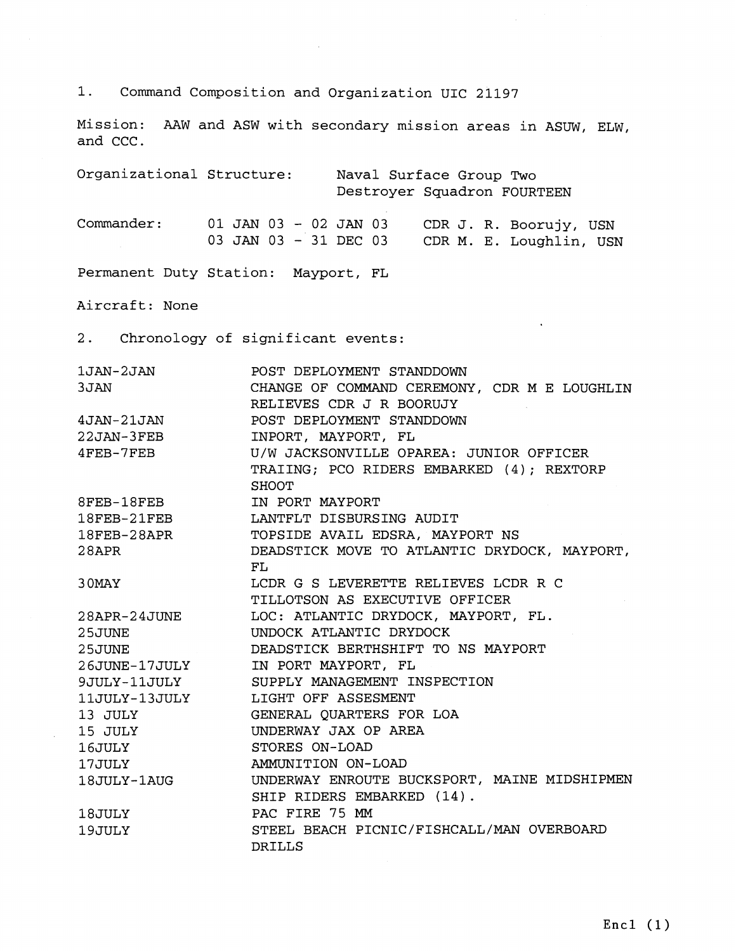1. Command Composition and Organization UIC 21197

Mission: AAW and ASW with secondary mission areas in ASUW, ELW, and CCC.

Organizational Structure: Naval Surface Group Two Destroyer Squadron FOURTEEN Commander: 01 JAN 03 - 02 JAN 03 CDR J. R. Boorujy, USN 03 JAN 03 - 31 DEC 03 CDR M. E. Loughlin, USN Permanent Duty Station: Mayport, FL Aircraft: None 2. Chronology of significant events: 1JAN-2JAN POST DEPLOYMENT STANDDOWN CHANGE OF COMMAND CEREMONY, CDR M E LOUGHLIN 3JAN RELIEVES CDR J R BOORUJY 4JAN-21JAN POST DEPLOYMENT STANDDOWN INPORT, MAYPORT, FL 22JAN-3FEB U/W JACKSONVILLE OPAREA: JUNIOR OFFICER 4FEB-7FEB TRAIING; PC0 RIDERS EMBARKED ( <sup>4</sup>) ; REXTORP **SHOOT** IN PORT MAYPORT 8FEB-18FEB 18FEB-21FEB LANTFLT DISBURSING AUDIT  $18$ FEB-28APR TOPSIDE AVAIL EDSRA, MAYPORT NS  $28$ APR DEADSTICK MOVE TO ATLANTIC DRYDOCK, MAYPORT, FL LCDR G S LEVERETTE RELIEVES LCDR R C 3 OMAY TILLOTSON AS EXECUTIVE OFFICER LOC: ATLANTIC DRYDOCK, MAYPORT, FL. 28APR-24JUNE 2 5 JUNE UNDOCK ATLANTIC DRYDOCK DEADSTICK BERTHSHIFT TO NS MAYPORT 2 5 JUNE 26JUNE-17JULY IN PORT MAYPORT, FL SUPPLY MANAGEMENT INSPECTION 9JULY-11JULY LIGHT OFF ASSESMENT 11JULY-13JULY 13 JULY GENERAL QUARTERS FOR LOA 15 JULY UNDERWAY JAX OP AREA STORES ON-LOAD 16 JULY 17 JULY AMMUNITION ON-LOAD UNDERWAY ENROUTE BUCKSPORT, MAINE MIDSHIPMEN 18JULY-1AUG SHIP RIDERS EMBARKED (14). PAC FIRE 75 MM 18 JULY 19 JULY STEEL BEACH PICNIC/FISHCALL/MAN OVERBOARD DRILLS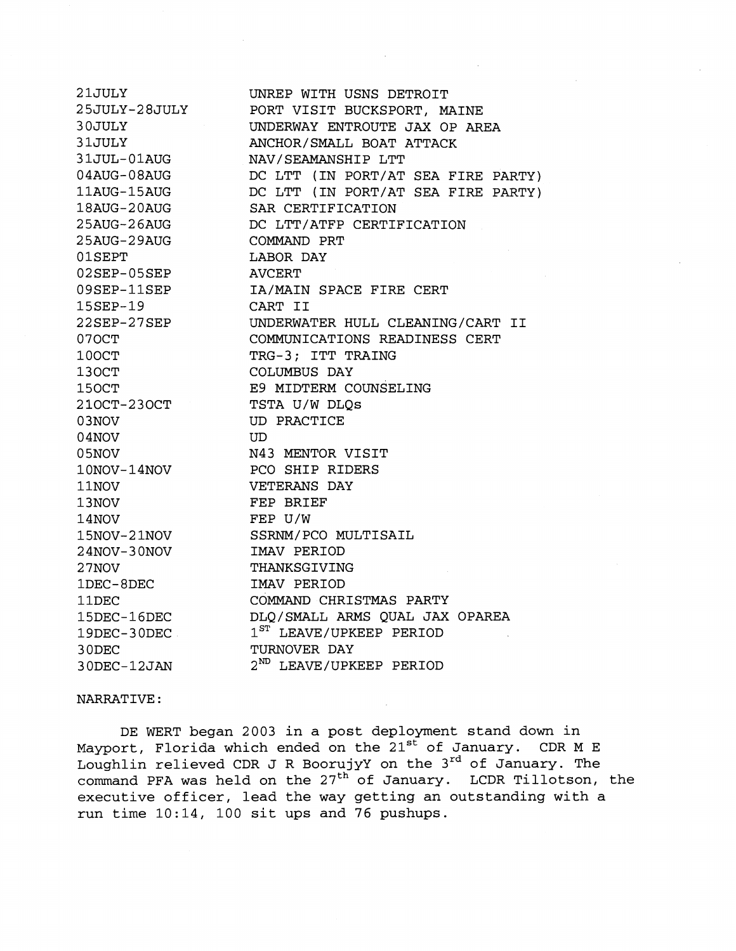| 21JULY                                | UNREP WITH USNS DETROIT            |
|---------------------------------------|------------------------------------|
| 25JULY-28JULY                         | PORT VISIT BUCKSPORT, MAINE        |
| 30JULY                                | UNDERWAY ENTROUTE JAX OP AREA      |
| 31JULY                                | ANCHOR/SMALL BOAT ATTACK           |
| 31JUL-01AUG                           | NAV/SEAMANSHIP LTT                 |
| $04$ AUG-08AUG                        | DC LTT (IN PORT/AT SEA FIRE PARTY) |
| $11 \mathrm{AUG}$ - $15 \mathrm{AUG}$ | DC LTT (IN PORT/AT SEA FIRE PARTY) |
| $18\mathrm{AUG}$ -20 $\mathrm{AUG}$   | SAR CERTIFICATION                  |
| 25AUG-26AUG                           | DC LTT/ATFP CERTIFICATION          |
| 25AUG-29AUG                           | COMMAND PRT                        |
| $01$ SEPT                             | <b>LABOR DAY</b>                   |
| $02$ SEP- $05$ SEP                    | <b>AVCERT</b>                      |
| 09SEP-11SEP                           | IA/MAIN SPACE FIRE CERT            |
| 15SEP-19                              | CART II                            |
| $22\mathtt{SEP}{-}27\mathtt{SEP}$     | UNDERWATER HULL CLEANING/CART II   |
| 070CT                                 | COMMUNICATIONS READINESS CERT      |
| 100CT                                 | TRG-3; ITT TRAING                  |
| 130CT                                 | COLUMBUS DAY                       |
| 150CT                                 | E9 MIDTERM COUNSELING              |
| $210CT-230CT$                         | TSTA U/W DLQs                      |
| 03NOV                                 | <b>UD PRACTICE</b>                 |
| 04NOV                                 | <b>UD</b>                          |
| 05NOV                                 | N43 MENTOR VISIT                   |
| 10NOV-14NOV                           | PCO SHIP RIDERS                    |
| 11NOV                                 | VETERANS DAY                       |
| 13NOV                                 | FEP BRIEF                          |
| 14NOV                                 | FEP U/W                            |
| 15NOV-21NOV                           | SSRNM/PCO MULTISAIL                |
| 24NOV-30NOV                           | IMAV PERIOD                        |
| 27NOV                                 | THANKSGIVING                       |
| 1DEC-8DEC                             | IMAV PERIOD                        |
| 11DEC                                 | COMMAND CHRISTMAS PARTY            |
| 15DEC-16DEC                           | DLQ/SMALL ARMS QUAL JAX OPAREA     |
| 19DEC-30DEC                           | $1ST$ LEAVE/UPKEEP PERIOD          |
| 30DEC                                 | TURNOVER DAY                       |
| 30DEC-12JAN                           | $2^{ND}$ LEAVE/UPKEEP PERIOD       |

NARRATIVE :

DE WERT began 2003 in a post deployment stand down in Mayport, Florida which ended on the  $21^{\rm st}$  of January.  $\,$  CDR M E  $\,$ Loughlin relieved CDR J R BoorujyY on the 3<sup>rd</sup> of January. The command PFA was held on the 27<sup>th</sup> of January. LCDR Tillotson, the executive officer, lead the way getting an outstanding with a run time 10:14, 100 sit ups and 76 pushups.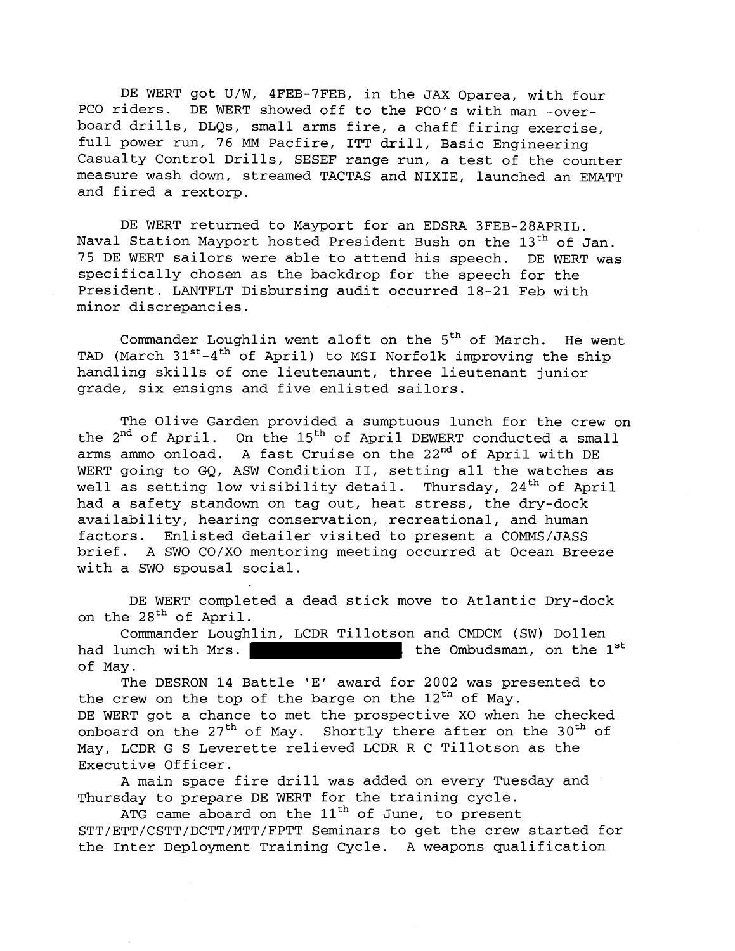DE WERT got U/W, 4FEB-7FEB, in the JAX Oparea, with four PC0 riders. DE WERT showed off to the PCO's with man -overboard drills, DLQs, small arms fire, a chaff firing exercise, full power run, 76 **MM** Pacfire, ITT drill, Basic Engineering Casualty Control Drills, SESEF range run, a test of the counter measure wash down, streamed TACTAS and NIXIE, launched an EMATT and fired a rextorp.

DE WERT returned to Mayport for an EDSRA 3FEB-28APRIL. Naval Station Mayport hosted President Bush on the 13<sup>th</sup> of Jan. 75 DE WERT sailors were able to attend his speech. DE WERT was specifically chosen as the backdrop for the speech for the President. LANTFLT Disbursing audit occurred 18-21 Feb with minor discrepancies.

Commander Loughlin went aloft on the  $5<sup>th</sup>$  of March. He went TAD (March  $31^{st}-4^{th}$  of April) to MSI Norfolk improving the ship handling skills of one lieutenaunt, three lieutenant junior grade, six ensigns and five enlisted sailors.

The Olive Garden provided a sumptuous lunch for the crew on the 2<sup>nd</sup> of April. On the 15<sup>th</sup> of April DEWERT conducted a small arms ammo onload. A fast Cruise on the 22<sup>nd</sup> of April with DE WERT going to GQ, ASW Condition II, setting all the watches as well as setting low visibility detail. Thursday,  $24<sup>th</sup>$  of April had a safety standown on tag out, heat stress, the dry-dock availability, hearing conservation, recreational, and human factors. Enlisted detailer visited to present a COMMS/JASS brief. A SWO CO/XO mentoring meeting occurred at Ocean Breeze with a SWO spousal social.

DE WERT completed a dead stick move to Atlantic Dry-dock on the 28<sup>th</sup> of April.

Commander Loughlin, LCDR Tillotson and CMDCM (SW) Dollen had lunch with Mrs.  $\blacksquare$  the Ombudsman, on the  $1^\text{st}$ of May.

The DESRON 14 Battle 'E' award for 2002 was presented to the crew on the top of the barge on the  $12<sup>th</sup>$  of May. DE WERT got a chance to met the prospective XO when he checked onboard on the  $27<sup>th</sup>$  of May. Shortly there after on the 30<sup>th</sup> of May, LCDR G S Leverette relieved LCDR R C Tillotson as the Executive Officer.

A main space fire drill was added on every Tuesday and Thursday to prepare DE WERT for the training cycle.

ATG came aboard on the  $11<sup>th</sup>$  of June, to present STT/ETT/CSTT/DCTT/MTT/FPTT Seminars to get the crew started for the Inter Deployment Training Cycle. A weapons qualification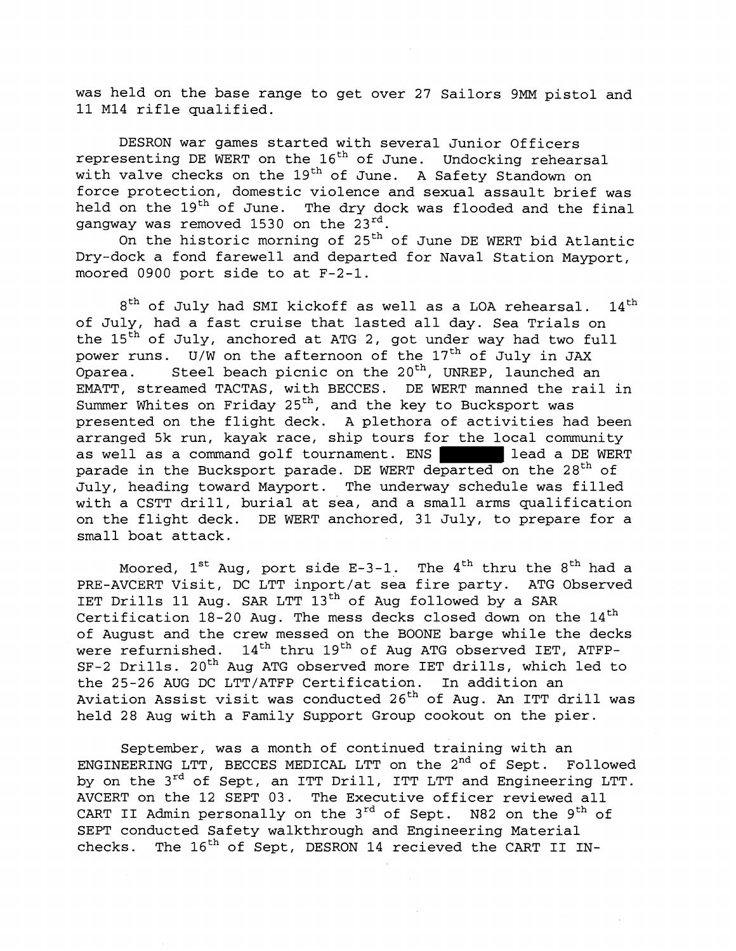was held on the base range to get over 27 Sailors 9MM pistol and 11 MI4 rifle qualified.

DESRON war games started with several Junior Officers representing DE WERT on the  $16<sup>th</sup>$  of June. Undocking rehearsal with valve checks on the 19<sup>th</sup> of June. A Safety Standown on force protection, domestic violence and sexual assault brief was held on the 19<sup>th</sup> of June. The dry dock was flooded and the final gangway was removed 1530 on the 23rd.

On the historic morning of  $25<sup>th</sup>$  of June DE WERT bid Atlantic Dry-dock a fond farewell and departed for Naval Station Mayport, moored 0900 port side to at F-2-1.

 $8<sup>th</sup>$  of July had SMI kickoff as well as a LOA rehearsal.  $14<sup>th</sup>$ of July, had a fast cruise that lasted all day. Sea Trials on the 15<sup>th</sup> of July, anchored at ATG 2, got under way had two full power runs.  $U/W$  on the afternoon of the  $17<sup>th</sup>$  of July in JAX Oparea. Steel beach picnic on the  $20<sup>th</sup>$ , UNREP, launched an EMATT, streamed TACTAS, with BECCES. DE WERT manned the rail in Summer Whites on Friday  $25<sup>th</sup>$ , and the key to Bucksport was presented on the flight deck. A plethora of activities had been arranged 5k run, kayak race, ship tours for the local community as well as a command golf tournament. ENS lead a DE WERT parade in the Bucksport parade. DE WERT departed on the 28<sup>th</sup> of July, heading toward Mayport. The underway schedule was filled with a CSTT drill, burial at sea, and a small arms qualification on the flight deck. DE WERT anchored, 31 July, to prepare for a small boat attack.

Moored,  $1^{st}$  Aug, port side E-3-1. The  $4^{th}$  thru the  $8^{th}$  had a PRE-AVCERT Visit, DC LTT inport/at sea fire party. ATG Observed IET Drills 11 Aug. SAR LTT 13<sup>th</sup> of Aug followed by a SAR Certification  $18-20$  Aug. The mess decks closed down on the  $14<sup>th</sup>$ of August and the crew messed on the BOONE barge while the decks were refurnished.  $14<sup>th</sup>$  thru  $19<sup>th</sup>$  of Aug ATG observed IET, ATFP-SF-2 Drills. 20<sup>th</sup> Aug ATG observed more IET drills, which led to the 25-26 AUG DC LTT/ATFP Certification. In addition an Aviation Assist visit was conducted 26th of Aug. **An** ITT drill was held 28 Aug with a Family Support Group cookout on the pier.

September, was a month of continued training with an ENGINEERING LTT, BECCES MEDICAL LTT on the 2<sup>nd</sup> of Sept. Followed by on the 3<sup>rd</sup> of Sept, an ITT Drill, ITT LTT and Engineering LTT. AVCERT on the 12 SEPT 03. The Executive officer reviewed all CART II Admin personally on the  $3^{rd}$  of Sept. N82 on the  $9^{th}$  of SEPT conducted Safety walkthrough and Engineering Material checks. The  $16<sup>th</sup>$  of Sept, DESRON 14 recieved the CART II IN-